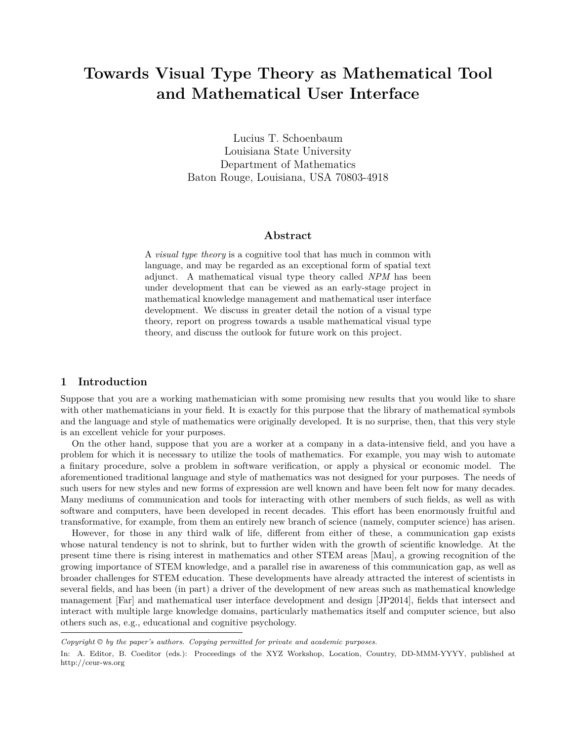## **Towards Visual Type Theory as Mathematical Tool and Mathematical User Interface**

Lucius T. Schoenbaum Louisiana State University Department of Mathematics Baton Rouge, Louisiana, USA 70803-4918

#### **Abstract**

A *visual type theory* is a cognitive tool that has much in common with language, and may be regarded as an exceptional form of spatial text adjunct. A mathematical visual type theory called *NPM* has been under development that can be viewed as an early-stage project in mathematical knowledge management and mathematical user interface development. We discuss in greater detail the notion of a visual type theory, report on progress towards a usable mathematical visual type theory, and discuss the outlook for future work on this project.

#### **1 Introduction**

Suppose that you are a working mathematician with some promising new results that you would like to share with other mathematicians in your field. It is exactly for this purpose that the library of mathematical symbols and the language and style of mathematics were originally developed. It is no surprise, then, that this very style is an excellent vehicle for your purposes.

On the other hand, suppose that you are a worker at a company in a data-intensive field, and you have a problem for which it is necessary to utilize the tools of mathematics. For example, you may wish to automate a finitary procedure, solve a problem in software verification, or apply a physical or economic model. The aforementioned traditional language and style of mathematics was not designed for your purposes. The needs of such users for new styles and new forms of expression are well known and have been felt now for many decades. Many mediums of communication and tools for interacting with other members of such fields, as well as with software and computers, have been developed in recent decades. This effort has been enormously fruitful and transformative, for example, from them an entirely new branch of science (namely, computer science) has arisen.

However, for those in any third walk of life, different from either of these, a communication gap exists whose natural tendency is not to shrink, but to further widen with the growth of scientific knowledge. At the present time there is rising interest in mathematics and other STEM areas [Mau], a growing recognition of the growing importance of STEM knowledge, and a parallel rise in awareness of this communication gap, as well as broader challenges for STEM education. These developments have already attracted the interest of scientists in several fields, and has been (in part) a driver of the development of new areas such as mathematical knowledge management [Far] and mathematical user interface development and design [JP2014], fields that intersect and interact with multiple large knowledge domains, particularly mathematics itself and computer science, but also others such as, e.g., educational and cognitive psychology.

*Copyright © by the paper's authors. Copying permitted for private and academic purposes.*

In: A. Editor, B. Coeditor (eds.): Proceedings of the XYZ Workshop, Location, Country, DD-MMM-YYYY, published at http://ceur-ws.org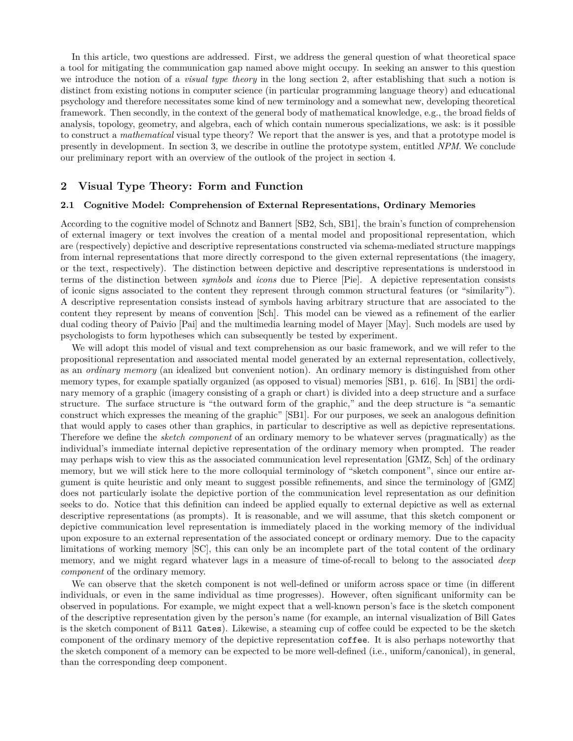In this article, two questions are addressed. First, we address the general question of what theoretical space a tool for mitigating the communication gap named above might occupy. In seeking an answer to this question we introduce the notion of a *visual type theory* in the long section 2, after establishing that such a notion is distinct from existing notions in computer science (in particular programming language theory) and educational psychology and therefore necessitates some kind of new terminology and a somewhat new, developing theoretical framework. Then secondly, in the context of the general body of mathematical knowledge, e.g., the broad fields of analysis, topology, geometry, and algebra, each of which contain numerous specializations, we ask: is it possible to construct a *mathematical* visual type theory? We report that the answer is yes, and that a prototype model is presently in development. In section 3, we describe in outline the prototype system, entitled *NPM*. We conclude our preliminary report with an overview of the outlook of the project in section 4.

#### **2 Visual Type Theory: Form and Function**

#### **2.1 Cognitive Model: Comprehension of External Representations, Ordinary Memories**

According to the cognitive model of Schnotz and Bannert [SB2, Sch, SB1], the brain's function of comprehension of external imagery or text involves the creation of a mental model and propositional representation, which are (respectively) depictive and descriptive representations constructed via schema-mediated structure mappings from internal representations that more directly correspond to the given external representations (the imagery, or the text, respectively). The distinction between depictive and descriptive representations is understood in terms of the distinction between *symbols* and *icons* due to Pierce [Pie]. A depictive representation consists of iconic signs associated to the content they represent through common structural features (or "similarity"). A descriptive representation consists instead of symbols having arbitrary structure that are associated to the content they represent by means of convention [Sch]. This model can be viewed as a refinement of the earlier dual coding theory of Paivio [Pai] and the multimedia learning model of Mayer [May]. Such models are used by psychologists to form hypotheses which can subsequently be tested by experiment.

We will adopt this model of visual and text comprehension as our basic framework, and we will refer to the propositional representation and associated mental model generated by an external representation, collectively, as an *ordinary memory* (an idealized but convenient notion). An ordinary memory is distinguished from other memory types, for example spatially organized (as opposed to visual) memories [SB1, p. 616]. In [SB1] the ordinary memory of a graphic (imagery consisting of a graph or chart) is divided into a deep structure and a surface structure. The surface structure is "the outward form of the graphic," and the deep structure is "a semantic construct which expresses the meaning of the graphic" [SB1]. For our purposes, we seek an analogous definition that would apply to cases other than graphics, in particular to descriptive as well as depictive representations. Therefore we define the *sketch component* of an ordinary memory to be whatever serves (pragmatically) as the individual's immediate internal depictive representation of the ordinary memory when prompted. The reader may perhaps wish to view this as the associated communication level representation [GMZ, Sch] of the ordinary memory, but we will stick here to the more colloquial terminology of "sketch component", since our entire argument is quite heuristic and only meant to suggest possible refinements, and since the terminology of [GMZ] does not particularly isolate the depictive portion of the communication level representation as our definition seeks to do. Notice that this definition can indeed be applied equally to external depictive as well as external descriptive representations (as prompts). It is reasonable, and we will assume, that this sketch component or depictive communication level representation is immediately placed in the working memory of the individual upon exposure to an external representation of the associated concept or ordinary memory. Due to the capacity limitations of working memory [SC], this can only be an incomplete part of the total content of the ordinary memory, and we might regard whatever lags in a measure of time-of-recall to belong to the associated *deep component* of the ordinary memory.

We can observe that the sketch component is not well-defined or uniform across space or time (in different individuals, or even in the same individual as time progresses). However, often significant uniformity can be observed in populations. For example, we might expect that a well-known person's face is the sketch component of the descriptive representation given by the person's name (for example, an internal visualization of Bill Gates is the sketch component of Bill Gates). Likewise, a steaming cup of coffee could be expected to be the sketch component of the ordinary memory of the depictive representation coffee. It is also perhaps noteworthy that the sketch component of a memory can be expected to be more well-defined (i.e., uniform/canonical), in general, than the corresponding deep component.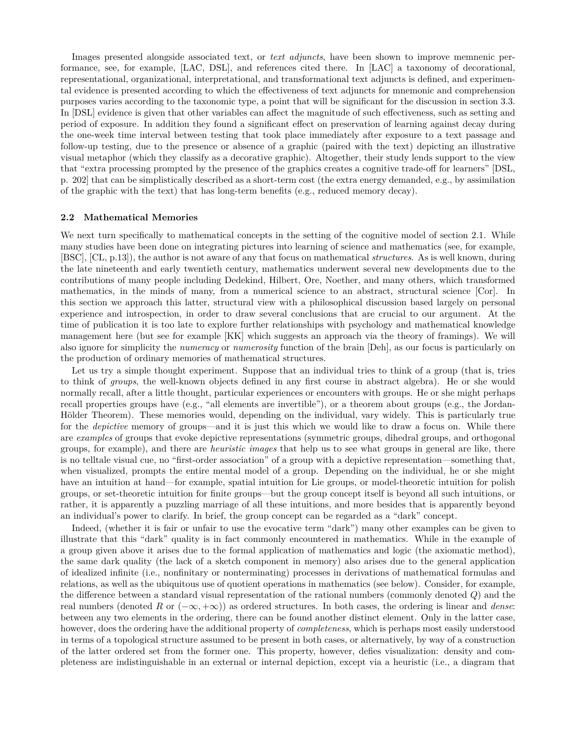Images presented alongside associated text, or *text adjuncts*, have been shown to improve memnenic performance, see, for example, [LAC, DSL], and references cited there. In [LAC] a taxonomy of decorational, representational, organizational, interpretational, and transformational text adjuncts is defined, and experimental evidence is presented according to which the effectiveness of text adjuncts for mnemonic and comprehension purposes varies according to the taxonomic type, a point that will be significant for the discussion in section 3.3. In [DSL] evidence is given that other variables can affect the magnitude of such effectiveness, such as setting and period of exposure. In addition they found a significant effect on preservation of learning against decay during the one-week time interval between testing that took place immediately after exposure to a text passage and follow-up testing, due to the presence or absence of a graphic (paired with the text) depicting an illustrative visual metaphor (which they classify as a decorative graphic). Altogether, their study lends support to the view that "extra processing prompted by the presence of the graphics creates a cognitive trade-off for learners" [DSL, p. 202] that can be simplistically described as a short-term cost (the extra energy demanded, e.g., by assimilation of the graphic with the text) that has long-term benefits (e.g., reduced memory decay).

#### **2.2 Mathematical Memories**

We next turn specifically to mathematical concepts in the setting of the cognitive model of section 2.1. While many studies have been done on integrating pictures into learning of science and mathematics (see, for example, [BSC], [CL, p.13]), the author is not aware of any that focus on mathematical *structures*. As is well known, during the late nineteenth and early twentieth century, mathematics underwent several new developments due to the contributions of many people including Dedekind, Hilbert, Ore, Noether, and many others, which transformed mathematics, in the minds of many, from a numerical science to an abstract, structural science [Cor]. In this section we approach this latter, structural view with a philosophical discussion based largely on personal experience and introspection, in order to draw several conclusions that are crucial to our argument. At the time of publication it is too late to explore further relationships with psychology and mathematical knowledge management here (but see for example [KK] which suggests an approach via the theory of framings). We will also ignore for simplicity the *numeracy* or *numerosity* function of the brain [Deh], as our focus is particularly on the production of ordinary memories of mathematical structures.

Let us try a simple thought experiment. Suppose that an individual tries to think of a group (that is, tries to think of *groups*, the well-known objects defined in any first course in abstract algebra). He or she would normally recall, after a little thought, particular experiences or encounters with groups. He or she might perhaps recall properties groups have (e.g., "all elements are invertible"), or a theorem about groups (e.g., the Jordan-Hölder Theorem). These memories would, depending on the individual, vary widely. This is particularly true for the *depictive* memory of groups—and it is just this which we would like to draw a focus on. While there are *examples* of groups that evoke depictive representations (symmetric groups, dihedral groups, and orthogonal groups, for example), and there are *heuristic images* that help us to see what groups in general are like, there is no telltale visual cue, no "first-order association" of a group with a depictive representation—something that, when visualized, prompts the entire mental model of a group. Depending on the individual, he or she might have an intuition at hand—for example, spatial intuition for Lie groups, or model-theoretic intuition for polish groups, or set-theoretic intuition for finite groups—but the group concept itself is beyond all such intuitions, or rather, it is apparently a puzzling marriage of all these intuitions, and more besides that is apparently beyond an individual's power to clarify. In brief, the group concept can be regarded as a "dark" concept.

Indeed, (whether it is fair or unfair to use the evocative term "dark") many other examples can be given to illustrate that this "dark" quality is in fact commonly encountered in mathematics. While in the example of a group given above it arises due to the formal application of mathematics and logic (the axiomatic method), the same dark quality (the lack of a sketch component in memory) also arises due to the general application of idealized infinite (i.e., nonfinitary or nonterminating) processes in derivations of mathematical formulas and relations, as well as the ubiquitous use of quotient operations in mathematics (see below). Consider, for example, the difference between a standard visual representation of the rational numbers (commonly denoted *Q*) and the real numbers (denoted *R* or (*−∞,* +*∞*)) as ordered structures. In both cases, the ordering is linear and *dense*: between any two elements in the ordering, there can be found another distinct element. Only in the latter case, however, does the ordering have the additional property of *completeness*, which is perhaps most easily understood in terms of a topological structure assumed to be present in both cases, or alternatively, by way of a construction of the latter ordered set from the former one. This property, however, defies visualization: density and completeness are indistinguishable in an external or internal depiction, except via a heuristic (i.e., a diagram that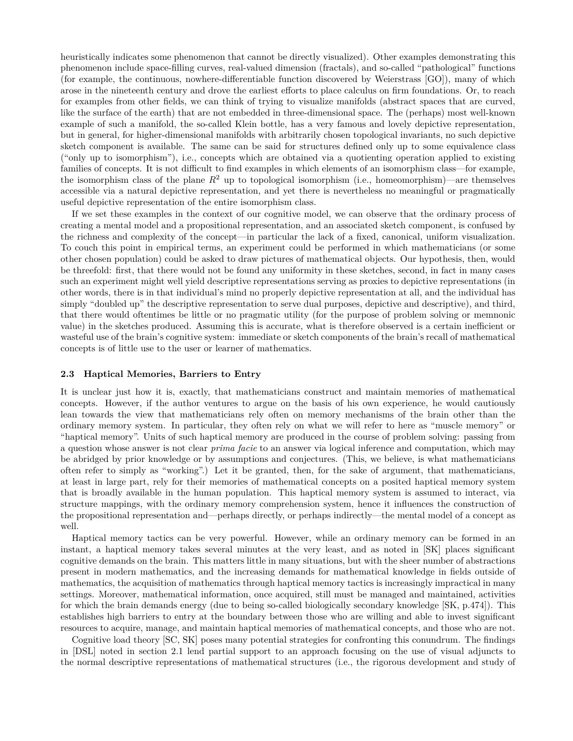heuristically indicates some phenomenon that cannot be directly visualized). Other examples demonstrating this phenomenon include space-filling curves, real-valued dimension (fractals), and so-called "pathological" functions (for example, the continuous, nowhere-differentiable function discovered by Weierstrass [GO]), many of which arose in the nineteenth century and drove the earliest efforts to place calculus on firm foundations. Or, to reach for examples from other fields, we can think of trying to visualize manifolds (abstract spaces that are curved, like the surface of the earth) that are not embedded in three-dimensional space. The (perhaps) most well-known example of such a manifold, the so-called Klein bottle, has a very famous and lovely depictive representation, but in general, for higher-dimensional manifolds with arbitrarily chosen topological invariants, no such depictive sketch component is available. The same can be said for structures defined only up to some equivalence class ("only up to isomorphism"), i.e., concepts which are obtained via a quotienting operation applied to existing families of concepts. It is not difficult to find examples in which elements of an isomorphism class—for example, the isomorphism class of the plane  $R^2$  up to topological isomorphism (i.e., homeomorphism)—are themselves accessible via a natural depictive representation, and yet there is nevertheless no meaningful or pragmatically useful depictive representation of the entire isomorphism class.

If we set these examples in the context of our cognitive model, we can observe that the ordinary process of creating a mental model and a propositional representation, and an associated sketch component, is confused by the richness and complexity of the concept—in particular the lack of a fixed, canonical, uniform visualization. To couch this point in empirical terms, an experiment could be performed in which mathematicians (or some other chosen population) could be asked to draw pictures of mathematical objects. Our hypothesis, then, would be threefold: first, that there would not be found any uniformity in these sketches, second, in fact in many cases such an experiment might well yield descriptive representations serving as proxies to depictive representations (in other words, there is in that individual's mind no properly depictive representation at all, and the individual has simply "doubled up" the descriptive representation to serve dual purposes, depictive and descriptive), and third, that there would oftentimes be little or no pragmatic utility (for the purpose of problem solving or memnonic value) in the sketches produced. Assuming this is accurate, what is therefore observed is a certain inefficient or wasteful use of the brain's cognitive system: immediate or sketch components of the brain's recall of mathematical concepts is of little use to the user or learner of mathematics.

#### **2.3 Haptical Memories, Barriers to Entry**

It is unclear just how it is, exactly, that mathematicians construct and maintain memories of mathematical concepts. However, if the author ventures to argue on the basis of his own experience, he would cautiously lean towards the view that mathematicians rely often on memory mechanisms of the brain other than the ordinary memory system. In particular, they often rely on what we will refer to here as "muscle memory" or "haptical memory". Units of such haptical memory are produced in the course of problem solving: passing from a question whose answer is not clear *prima facie* to an answer via logical inference and computation, which may be abridged by prior knowledge or by assumptions and conjectures. (This, we believe, is what mathematicians often refer to simply as "working".) Let it be granted, then, for the sake of argument, that mathematicians, at least in large part, rely for their memories of mathematical concepts on a posited haptical memory system that is broadly available in the human population. This haptical memory system is assumed to interact, via structure mappings, with the ordinary memory comprehension system, hence it influences the construction of the propositional representation and—perhaps directly, or perhaps indirectly—the mental model of a concept as well.

Haptical memory tactics can be very powerful. However, while an ordinary memory can be formed in an instant, a haptical memory takes several minutes at the very least, and as noted in [SK] places significant cognitive demands on the brain. This matters little in many situations, but with the sheer number of abstractions present in modern mathematics, and the increasing demands for mathematical knowledge in fields outside of mathematics, the acquisition of mathematics through haptical memory tactics is increasingly impractical in many settings. Moreover, mathematical information, once acquired, still must be managed and maintained, activities for which the brain demands energy (due to being so-called biologically secondary knowledge [SK, p.474]). This establishes high barriers to entry at the boundary between those who are willing and able to invest significant resources to acquire, manage, and maintain haptical memories of mathematical concepts, and those who are not.

Cognitive load theory [SC, SK] poses many potential strategies for confronting this conundrum. The findings in [DSL] noted in section 2.1 lend partial support to an approach focusing on the use of visual adjuncts to the normal descriptive representations of mathematical structures (i.e., the rigorous development and study of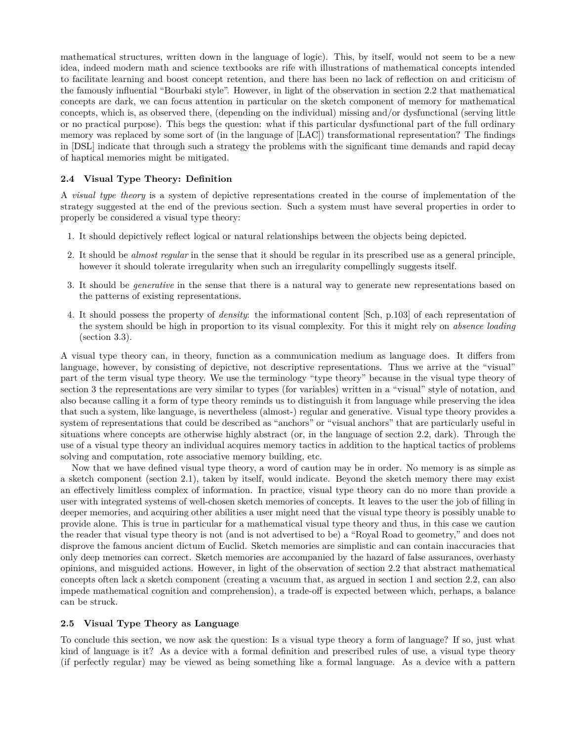mathematical structures, written down in the language of logic). This, by itself, would not seem to be a new idea, indeed modern math and science textbooks are rife with illustrations of mathematical concepts intended to facilitate learning and boost concept retention, and there has been no lack of reflection on and criticism of the famously influential "Bourbaki style". However, in light of the observation in section 2.2 that mathematical concepts are dark, we can focus attention in particular on the sketch component of memory for mathematical concepts, which is, as observed there, (depending on the individual) missing and/or dysfunctional (serving little or no practical purpose). This begs the question: what if this particular dysfunctional part of the full ordinary memory was replaced by some sort of (in the language of [LAC]) transformational representation? The findings in [DSL] indicate that through such a strategy the problems with the significant time demands and rapid decay of haptical memories might be mitigated.

#### **2.4 Visual Type Theory: Definition**

A *visual type theory* is a system of depictive representations created in the course of implementation of the strategy suggested at the end of the previous section. Such a system must have several properties in order to properly be considered a visual type theory:

- 1. It should depictively reflect logical or natural relationships between the objects being depicted.
- 2. It should be *almost regular* in the sense that it should be regular in its prescribed use as a general principle, however it should tolerate irregularity when such an irregularity compellingly suggests itself.
- 3. It should be *generative* in the sense that there is a natural way to generate new representations based on the patterns of existing representations.
- 4. It should possess the property of *density*: the informational content [Sch, p.103] of each representation of the system should be high in proportion to its visual complexity. For this it might rely on *absence loading* (section 3.3).

A visual type theory can, in theory, function as a communication medium as language does. It differs from language, however, by consisting of depictive, not descriptive representations. Thus we arrive at the "visual" part of the term visual type theory. We use the terminology "type theory" because in the visual type theory of section 3 the representations are very similar to types (for variables) written in a "visual" style of notation, and also because calling it a form of type theory reminds us to distinguish it from language while preserving the idea that such a system, like language, is nevertheless (almost-) regular and generative. Visual type theory provides a system of representations that could be described as "anchors" or "visual anchors" that are particularly useful in situations where concepts are otherwise highly abstract (or, in the language of section 2.2, dark). Through the use of a visual type theory an individual acquires memory tactics in addition to the haptical tactics of problems solving and computation, rote associative memory building, etc.

Now that we have defined visual type theory, a word of caution may be in order. No memory is as simple as a sketch component (section 2.1), taken by itself, would indicate. Beyond the sketch memory there may exist an effectively limitless complex of information. In practice, visual type theory can do no more than provide a user with integrated systems of well-chosen sketch memories of concepts. It leaves to the user the job of filling in deeper memories, and acquiring other abilities a user might need that the visual type theory is possibly unable to provide alone. This is true in particular for a mathematical visual type theory and thus, in this case we caution the reader that visual type theory is not (and is not advertised to be) a "Royal Road to geometry," and does not disprove the famous ancient dictum of Euclid. Sketch memories are simplistic and can contain inaccuracies that only deep memories can correct. Sketch memories are accompanied by the hazard of false assurances, overhasty opinions, and misguided actions. However, in light of the observation of section 2.2 that abstract mathematical concepts often lack a sketch component (creating a vacuum that, as argued in section 1 and section 2.2, can also impede mathematical cognition and comprehension), a trade-off is expected between which, perhaps, a balance can be struck.

#### **2.5 Visual Type Theory as Language**

To conclude this section, we now ask the question: Is a visual type theory a form of language? If so, just what kind of language is it? As a device with a formal definition and prescribed rules of use, a visual type theory (if perfectly regular) may be viewed as being something like a formal language. As a device with a pattern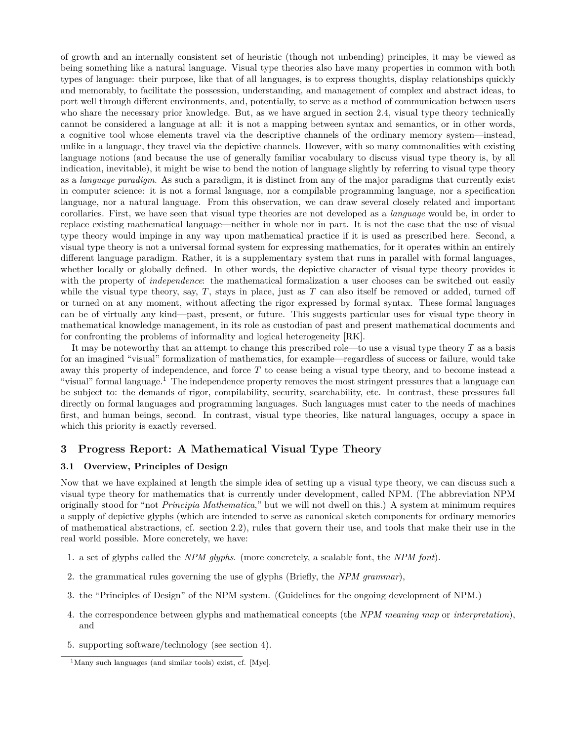of growth and an internally consistent set of heuristic (though not unbending) principles, it may be viewed as being something like a natural language. Visual type theories also have many properties in common with both types of language: their purpose, like that of all languages, is to express thoughts, display relationships quickly and memorably, to facilitate the possession, understanding, and management of complex and abstract ideas, to port well through different environments, and, potentially, to serve as a method of communication between users who share the necessary prior knowledge. But, as we have argued in section 2.4, visual type theory technically cannot be considered a language at all: it is not a mapping between syntax and semantics, or in other words, a cognitive tool whose elements travel via the descriptive channels of the ordinary memory system—instead, unlike in a language, they travel via the depictive channels. However, with so many commonalities with existing language notions (and because the use of generally familiar vocabulary to discuss visual type theory is, by all indication, inevitable), it might be wise to bend the notion of language slightly by referring to visual type theory as a *language paradigm*. As such a paradigm, it is distinct from any of the major paradigms that currently exist in computer science: it is not a formal language, nor a compilable programming language, nor a specification language, nor a natural language. From this observation, we can draw several closely related and important corollaries. First, we have seen that visual type theories are not developed as a *language* would be, in order to replace existing mathematical language—neither in whole nor in part. It is not the case that the use of visual type theory would impinge in any way upon mathematical practice if it is used as prescribed here. Second, a visual type theory is not a universal formal system for expressing mathematics, for it operates within an entirely different language paradigm. Rather, it is a supplementary system that runs in parallel with formal languages, whether locally or globally defined. In other words, the depictive character of visual type theory provides it with the property of *independence*: the mathematical formalization a user chooses can be switched out easily while the visual type theory, say, *T*, stays in place, just as *T* can also itself be removed or added, turned off or turned on at any moment, without affecting the rigor expressed by formal syntax. These formal languages can be of virtually any kind—past, present, or future. This suggests particular uses for visual type theory in mathematical knowledge management, in its role as custodian of past and present mathematical documents and for confronting the problems of informality and logical heterogeneity [RK].

It may be noteworthy that an attempt to change this prescribed role—to use a visual type theory *T* as a basis for an imagined "visual" formalization of mathematics, for example—regardless of success or failure, would take away this property of independence, and force *T* to cease being a visual type theory, and to become instead a "visual" formal language.<sup>1</sup> The independence property removes the most stringent pressures that a language can be subject to: the demands of rigor, compilability, security, searchability, etc. In contrast, these pressures fall directly on formal languages and programming languages. Such languages must cater to the needs of machines first, and human beings, second. In contrast, visual type theories, like natural languages, occupy a space in which this priority is exactly reversed.

#### **3 Progress Report: A Mathematical Visual Type Theory**

#### **3.1 Overview, Principles of Design**

Now that we have explained at length the simple idea of setting up a visual type theory, we can discuss such a visual type theory for mathematics that is currently under development, called NPM. (The abbreviation NPM originally stood for "not *Principia Mathematica*," but we will not dwell on this.) A system at minimum requires a supply of depictive glyphs (which are intended to serve as canonical sketch components for ordinary memories of mathematical abstractions, cf. section 2.2), rules that govern their use, and tools that make their use in the real world possible. More concretely, we have:

- 1. a set of glyphs called the *NPM glyphs*. (more concretely, a scalable font, the *NPM font*).
- 2. the grammatical rules governing the use of glyphs (Briefly, the *NPM grammar*),
- 3. the "Principles of Design" of the NPM system. (Guidelines for the ongoing development of NPM.)
- 4. the correspondence between glyphs and mathematical concepts (the *NPM meaning map* or *interpretation*), and
- 5. supporting software/technology (see section 4).

<sup>1</sup>Many such languages (and similar tools) exist, cf. [Mye].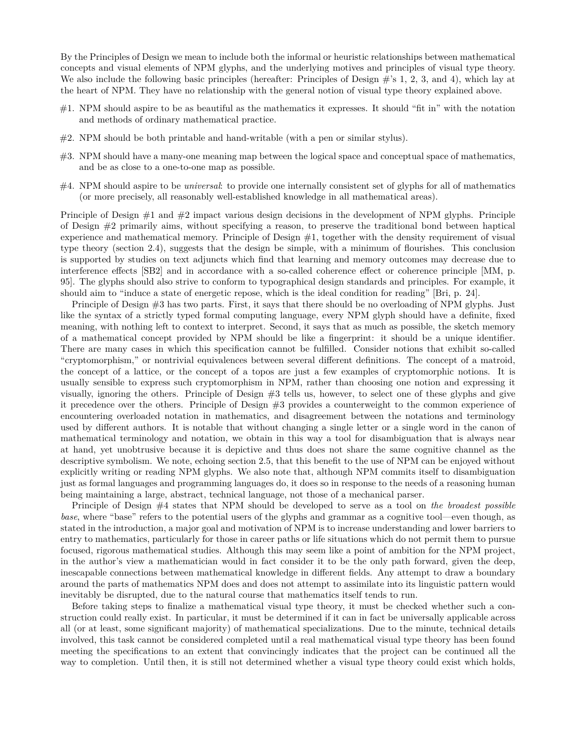By the Principles of Design we mean to include both the informal or heuristic relationships between mathematical concepts and visual elements of NPM glyphs, and the underlying motives and principles of visual type theory. We also include the following basic principles (hereafter: Principles of Design #'s 1, 2, 3, and 4), which lay at the heart of NPM. They have no relationship with the general notion of visual type theory explained above.

- #1. NPM should aspire to be as beautiful as the mathematics it expresses. It should "fit in" with the notation and methods of ordinary mathematical practice.
- #2. NPM should be both printable and hand-writable (with a pen or similar stylus).
- #3. NPM should have a many-one meaning map between the logical space and conceptual space of mathematics, and be as close to a one-to-one map as possible.
- #4. NPM should aspire to be *universal*: to provide one internally consistent set of glyphs for all of mathematics (or more precisely, all reasonably well-established knowledge in all mathematical areas).

Principle of Design  $\#1$  and  $\#2$  impact various design decisions in the development of NPM glyphs. Principle of Design #2 primarily aims, without specifying a reason, to preserve the traditional bond between haptical experience and mathematical memory. Principle of Design  $#1$ , together with the density requirement of visual type theory (section 2.4), suggests that the design be simple, with a minimum of flourishes. This conclusion is supported by studies on text adjuncts which find that learning and memory outcomes may decrease due to interference effects [SB2] and in accordance with a so-called coherence effect or coherence principle [MM, p. 95]. The glyphs should also strive to conform to typographical design standards and principles. For example, it should aim to "induce a state of energetic repose, which is the ideal condition for reading" [Bri, p. 24].

Principle of Design #3 has two parts. First, it says that there should be no overloading of NPM glyphs. Just like the syntax of a strictly typed formal computing language, every NPM glyph should have a definite, fixed meaning, with nothing left to context to interpret. Second, it says that as much as possible, the sketch memory of a mathematical concept provided by NPM should be like a fingerprint: it should be a unique identifier. There are many cases in which this specification cannot be fulfilled. Consider notions that exhibit so-called "cryptomorphism," or nontrivial equivalences between several different definitions. The concept of a matroid, the concept of a lattice, or the concept of a topos are just a few examples of cryptomorphic notions. It is usually sensible to express such cryptomorphism in NPM, rather than choosing one notion and expressing it visually, ignoring the others. Principle of Design #3 tells us, however, to select one of these glyphs and give it precedence over the others. Principle of Design #3 provides a counterweight to the common experience of encountering overloaded notation in mathematics, and disagreement between the notations and terminology used by different authors. It is notable that without changing a single letter or a single word in the canon of mathematical terminology and notation, we obtain in this way a tool for disambiguation that is always near at hand, yet unobtrusive because it is depictive and thus does not share the same cognitive channel as the descriptive symbolism. We note, echoing section 2.5, that this benefit to the use of NPM can be enjoyed without explicitly writing or reading NPM glyphs. We also note that, although NPM commits itself to disambiguation just as formal languages and programming languages do, it does so in response to the needs of a reasoning human being maintaining a large, abstract, technical language, not those of a mechanical parser.

Principle of Design #4 states that NPM should be developed to serve as a tool on *the broadest possible base*, where "base" refers to the potential users of the glyphs and grammar as a cognitive tool—even though, as stated in the introduction, a major goal and motivation of NPM is to increase understanding and lower barriers to entry to mathematics, particularly for those in career paths or life situations which do not permit them to pursue focused, rigorous mathematical studies. Although this may seem like a point of ambition for the NPM project, in the author's view a mathematician would in fact consider it to be the only path forward, given the deep, inescapable connections between mathematical knowledge in different fields. Any attempt to draw a boundary around the parts of mathematics NPM does and does not attempt to assimilate into its linguistic pattern would inevitably be disrupted, due to the natural course that mathematics itself tends to run.

Before taking steps to finalize a mathematical visual type theory, it must be checked whether such a construction could really exist. In particular, it must be determined if it can in fact be universally applicable across all (or at least, some significant majority) of mathematical specializations. Due to the minute, technical details involved, this task cannot be considered completed until a real mathematical visual type theory has been found meeting the specifications to an extent that convincingly indicates that the project can be continued all the way to completion. Until then, it is still not determined whether a visual type theory could exist which holds,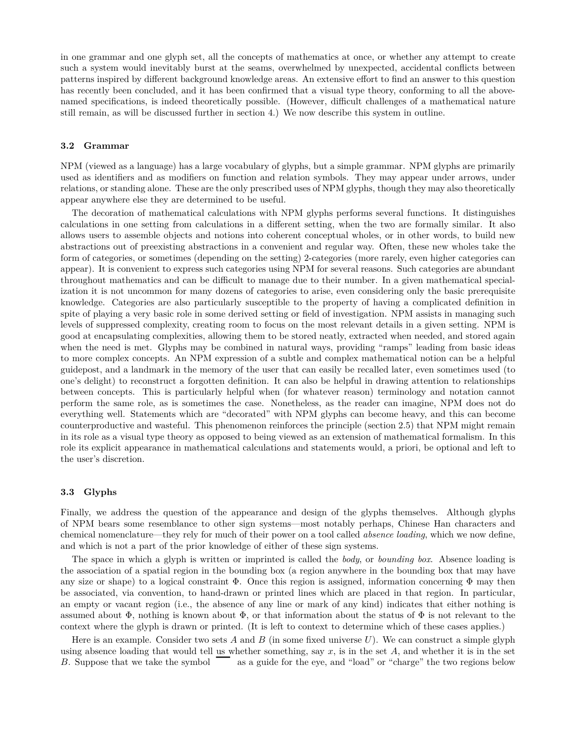in one grammar and one glyph set, all the concepts of mathematics at once, or whether any attempt to create such a system would inevitably burst at the seams, overwhelmed by unexpected, accidental conflicts between patterns inspired by different background knowledge areas. An extensive effort to find an answer to this question has recently been concluded, and it has been confirmed that a visual type theory, conforming to all the abovenamed specifications, is indeed theoretically possible. (However, difficult challenges of a mathematical nature still remain, as will be discussed further in section 4.) We now describe this system in outline.

#### **3.2 Grammar**

NPM (viewed as a language) has a large vocabulary of glyphs, but a simple grammar. NPM glyphs are primarily used as identifiers and as modifiers on function and relation symbols. They may appear under arrows, under relations, or standing alone. These are the only prescribed uses of NPM glyphs, though they may also theoretically appear anywhere else they are determined to be useful.

The decoration of mathematical calculations with NPM glyphs performs several functions. It distinguishes calculations in one setting from calculations in a different setting, when the two are formally similar. It also allows users to assemble objects and notions into coherent conceptual wholes, or in other words, to build new abstractions out of preexisting abstractions in a convenient and regular way. Often, these new wholes take the form of categories, or sometimes (depending on the setting) 2-categories (more rarely, even higher categories can appear). It is convenient to express such categories using NPM for several reasons. Such categories are abundant throughout mathematics and can be difficult to manage due to their number. In a given mathematical specialization it is not uncommon for many dozens of categories to arise, even considering only the basic prerequisite knowledge. Categories are also particularly susceptible to the property of having a complicated definition in spite of playing a very basic role in some derived setting or field of investigation. NPM assists in managing such levels of suppressed complexity, creating room to focus on the most relevant details in a given setting. NPM is good at encapsulating complexities, allowing them to be stored neatly, extracted when needed, and stored again when the need is met. Glyphs may be combined in natural ways, providing "ramps" leading from basic ideas to more complex concepts. An NPM expression of a subtle and complex mathematical notion can be a helpful guidepost, and a landmark in the memory of the user that can easily be recalled later, even sometimes used (to one's delight) to reconstruct a forgotten definition. It can also be helpful in drawing attention to relationships between concepts. This is particularly helpful when (for whatever reason) terminology and notation cannot perform the same role, as is sometimes the case. Nonetheless, as the reader can imagine, NPM does not do everything well. Statements which are "decorated" with NPM glyphs can become heavy, and this can become counterproductive and wasteful. This phenomenon reinforces the principle (section 2.5) that NPM might remain in its role as a visual type theory as opposed to being viewed as an extension of mathematical formalism. In this role its explicit appearance in mathematical calculations and statements would, a priori, be optional and left to the user's discretion.

#### **3.3 Glyphs**

Finally, we address the question of the appearance and design of the glyphs themselves. Although glyphs of NPM bears some resemblance to other sign systems—most notably perhaps, Chinese Han characters and chemical nomenclature—they rely for much of their power on a tool called *absence loading*, which we now define, and which is not a part of the prior knowledge of either of these sign systems.

The space in which a glyph is written or imprinted is called the *body*, or *bounding box*. Absence loading is the association of a spatial region in the bounding box (a region anywhere in the bounding box that may have any size or shape) to a logical constraint  $\Phi$ . Once this region is assigned, information concerning  $\Phi$  may then be associated, via convention, to hand-drawn or printed lines which are placed in that region. In particular, an empty or vacant region (i.e., the absence of any line or mark of any kind) indicates that either nothing is assumed about  $\Phi$ , nothing is known about  $\Phi$ , or that information about the status of  $\Phi$  is not relevant to the context where the glyph is drawn or printed. (It is left to context to determine which of these cases applies.)

Here is an example. Consider two sets *A* and *B* (in some fixed universe *U*). We can construct a simple glyph using absence loading that would tell us whether something, say  $x$ , is in the set  $A$ , and whether it is in the set  $B$ . Suppose that we take the symbol  $\overline{a}$  as a guide for the eye, and "load" or "charge" the two reg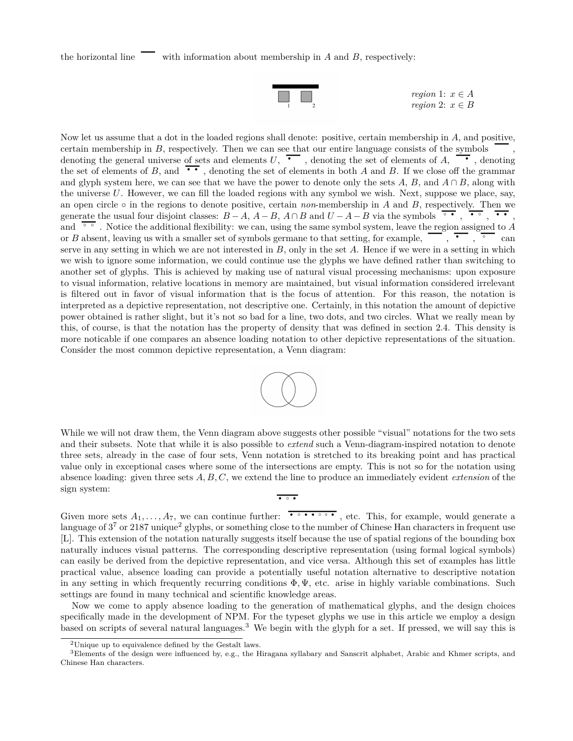

*region* 1:  $x \in A$ *region* 2:  $x \in B$ 

Now let us assume that a dot in the loaded regions shall denote: positive, certain membership in *A*, and positive, certain membership in  $B$ , respectively. Then we can see that our entire language consists of the symbols certain membership in *B*, respectively. Then we can see that our entire language consists of the symbols denoting the general universe of sets and elements  $U$ ,  $\overline{C}$ , denoting the set of elements of *A*,  $\overline{C}$ , de denoting the general universe of sets and elements  $U$ ,  $\bullet$ , denoting the set of elements of  $A$ ,  $\bullet$ , denoting the set of elements in both  $A$  and  $B$ . If we close off the grammar and  $B$ . If we close off the grammar and glyph system here, we can see that we have the power to denote only the sets  $A, B$ , and  $A \cap B$ , along with the universe *U*. However, we can fill the loaded regions with any symbol we wish. Next, suppose we place, say, an open circle *◦* in the regions to denote positive, certain *non*-membership in *A* and *B*, respectively. Then we generate the usual four disjoint classes:  $B - A$ ,  $A - B$ ,  $A \cap B$  and  $U - A - B$  via the symbols  $\overline{A}$ ,  $\overline{A}$ ,  $\overline{B}$ , generate the usual four disjoint classes:  $B-A$ ,  $A-B$ ,  $A \cap B$  and  $U-A-B$  via the symbols  $\overline{\bullet \bullet}$ ,  $\overline{\bullet \bullet}$ ,  $\overline{\bullet \bullet}$ ,  $\overline{\bullet \bullet}$ ,  $\overline{\bullet \bullet}$ ,  $\overline{\bullet \bullet}$ ,  $\overline{\bullet \bullet}$ ,  $\overline{\bullet \bullet}$ ,  $\overline{\bullet \bullet}$ ,  $\overline{\bullet \bullet}$ ,  $\overline{\bullet \bullet}$ ,  $\$ and  $\overline{\bullet}$ . Notice the additional flexibility: we can, using the same symbol system, leave the region assigned to A or *B* absent, leaving us with a smaller set of symbols germane to that setting, for example, serve in any setting in which we are not interested in *B*, only in the set *A*. Hence if we were in a setting in which we wish to ignore some information, we could continue use the glyphs we have defined rather than switching to another set of glyphs. This is achieved by making use of natural visual processing mechanisms: upon exposure to visual information, relative locations in memory are maintained, but visual information considered irrelevant is filtered out in favor of visual information that is the focus of attention. For this reason, the notation is interpreted as a depictive representation, not descriptive one. Certainly, in this notation the amount of depictive power obtained is rather slight, but it's not so bad for a line, two dots, and two circles. What we really mean by this, of course, is that the notation has the property of density that was defined in section 2.4. This density is more noticable if one compares an absence loading notation to other depictive representations of the situation. Consider the most common depictive representation, a Venn diagram:



While we will not draw them, the Venn diagram above suggests other possible "visual" notations for the two sets and their subsets. Note that while it is also possible to *extend* such a Venn-diagram-inspired notation to denote three sets, already in the case of four sets, Venn notation is stretched to its breaking point and has practical value only in exceptional cases where some of the intersections are empty. This is not so for the notation using absence loading: given three sets *A, B, C*, we extend the line to produce an immediately evident *extension* of the sign system:  $\bullet$   $\circ$   $\bullet$ 

Given more sets  $A_1, \ldots, A_7$ , we can continue further:  $\bullet \bullet \bullet \bullet \bullet \bullet$ , etc. This, for example, would generate a language of  $3^7$  or 2187 unique<sup>2</sup> glyphs, or something close to the number of Chinese Han characters in frequent use [L]. This extension of the notation naturally suggests itself because the use of spatial regions of the bounding box naturally induces visual patterns. The corresponding descriptive representation (using formal logical symbols) can easily be derived from the depictive representation, and vice versa. Although this set of examples has little practical value, absence loading can provide a potentially useful notation alternative to descriptive notation in any setting in which frequently recurring conditions Φ*,* Ψ, etc. arise in highly variable combinations. Such settings are found in many technical and scientific knowledge areas.

Now we come to apply absence loading to the generation of mathematical glyphs, and the design choices specifically made in the development of NPM. For the typeset glyphs we use in this article we employ a design based on scripts of several natural languages.<sup>3</sup> We begin with the glyph for a set. If pressed, we will say this is

<sup>2</sup>Unique up to equivalence defined by the Gestalt laws.

<sup>&</sup>lt;sup>3</sup>Elements of the design were influenced by, e.g., the Hiragana syllabary and Sanscrit alphabet, Arabic and Khmer scripts, and Chinese Han characters.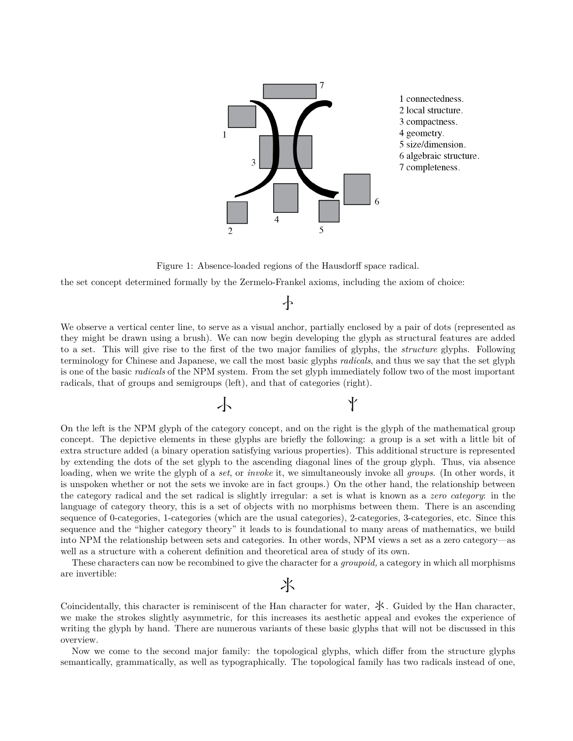

Figure 1: Absence-loaded regions of the Hausdorff space radical.

the set concept determined formally by the Zermelo-Frankel axioms, including the axiom of choice:

 $\leftarrow$ 

We observe a vertical center line, to serve as a visual anchor, partially enclosed by a pair of dots (represented as they might be drawn using a brush). We can now begin developing the glyph as structural features are added to a set. This will give rise to the first of the two major families of glyphs, the *structure* glyphs. Following terminology for Chinese and Japanese, we call the most basic glyphs *radicals*, and thus we say that the set glyph is one of the basic *radicals* of the NPM system. From the set glyph immediately follow two of the most important radicals, that of groups and semigroups (left), and that of categories (right).

M N

On the left is the NPM glyph of the category concept, and on the right is the glyph of the mathematical group concept. The depictive elements in these glyphs are briefly the following: a group is a set with a little bit of extra structure added (a binary operation satisfying various properties). This additional structure is represented by extending the dots of the set glyph to the ascending diagonal lines of the group glyph. Thus, via absence loading, when we write the glyph of a *set*, or *invoke* it, we simultaneously invoke all *groups*. (In other words, it is unspoken whether or not the sets we invoke are in fact groups.) On the other hand, the relationship between the category radical and the set radical is slightly irregular: a set is what is known as a *zero category*: in the language of category theory, this is a set of objects with no morphisms between them. There is an ascending sequence of 0-categories, 1-categories (which are the usual categories), 2-categories, 3-categories, etc. Since this sequence and the "higher category theory" it leads to is foundational to many areas of mathematics, we build into NPM the relationship between sets and categories. In other words, NPM views a set as a zero category—as well as a structure with a coherent definition and theoretical area of study of its own.

These characters can now be recombined to give the character for a *groupoid,* a category in which all morphisms are invertible:

## 氺

Coincidentally, this character is reminiscent of the Han character for water,  $\mathcal{X}$ . Guided by the Han character, we make the strokes slightly asymmetric, for this increases its aesthetic appeal and evokes the experience of writing the glyph by hand. There are numerous variants of these basic glyphs that will not be discussed in this overview.

Now we come to the second major family: the topological glyphs, which differ from the structure glyphs semantically, grammatically, as well as typographically. The topological family has two radicals instead of one,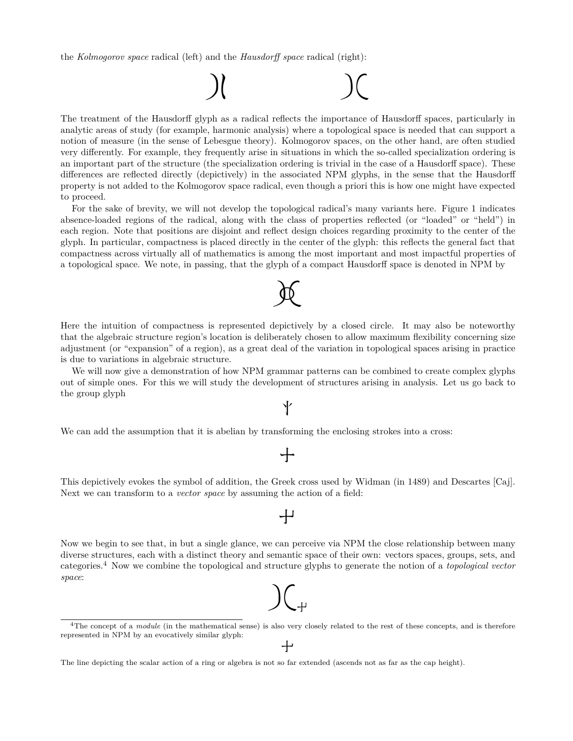the *Kolmogorov space* radical (left) and the *Hausdorff space* radical (right):



The treatment of the Hausdorff glyph as a radical reflects the importance of Hausdorff spaces, particularly in analytic areas of study (for example, harmonic analysis) where a topological space is needed that can support a notion of measure (in the sense of Lebesgue theory). Kolmogorov spaces, on the other hand, are often studied very differently. For example, they frequently arise in situations in which the so-called specialization ordering is an important part of the structure (the specialization ordering is trivial in the case of a Hausdorff space). These differences are reflected directly (depictively) in the associated NPM glyphs, in the sense that the Hausdorff property is not added to the Kolmogorov space radical, even though a priori this is how one might have expected to proceed.

For the sake of brevity, we will not develop the topological radical's many variants here. Figure 1 indicates absence-loaded regions of the radical, along with the class of properties reflected (or "loaded" or "held") in each region. Note that positions are disjoint and reflect design choices regarding proximity to the center of the glyph. In particular, compactness is placed directly in the center of the glyph: this reflects the general fact that compactness across virtually all of mathematics is among the most important and most impactful properties of a topological space. We note, in passing, that the glyph of a compact Hausdorff space is denoted in NPM by

Here the intuition of compactness is represented depictively by a closed circle. It may also be noteworthy that the algebraic structure region's location is deliberately chosen to allow maximum flexibility concerning size adjustment (or "expansion" of a region), as a great deal of the variation in topological spaces arising in practice is due to variations in algebraic structure.

 $\mathcal{R}$ 

We will now give a demonstration of how NPM grammar patterns can be combined to create complex glyphs out of simple ones. For this we will study the development of structures arising in analysis. Let us go back to the group glyph

N

We can add the assumption that it is abelian by transforming the enclosing strokes into a cross:

### $\bm{\mathcal{L}}$

This depictively evokes the symbol of addition, the Greek cross used by Widman (in 1489) and Descartes [Caj]. Next we can transform to a *vector space* by assuming the action of a field:

 $\pm$ 

Now we begin to see that, in but a single glance, we can perceive via NPM the close relationship between many diverse structures, each with a distinct theory and semantic space of their own: vectors spaces, groups, sets, and categories.<sup>4</sup> Now we combine the topological and structure glyphs to generate the notion of a *topological vector space*:

# $\int_{\leftarrow}$

<sup>&</sup>lt;sup>4</sup>The concept of a *module* (in the mathematical sense) is also very closely related to the rest of these concepts, and is therefore represented in NPM by an evocatively similar glyph:

The line depicting the scalar action of a ring or algebra is not so far extended (ascends not as far as the cap height).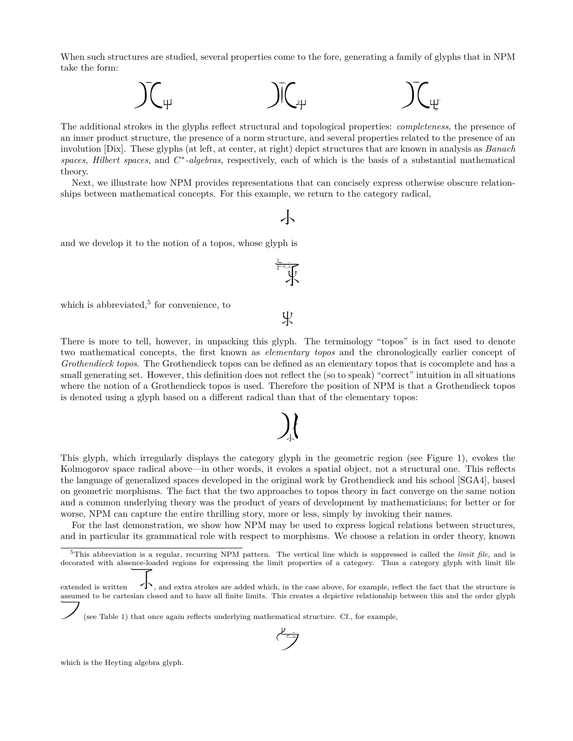When such structures are studied, several properties come to the fore, generating a family of glyphs that in NPM take the form:



The additional strokes in the glyphs reflect structural and topological properties: *completeness*, the presence of an inner product structure, the presence of a norm structure, and several properties related to the presence of an involution [Dix]. These glyphs (at left, at center, at right) depict structures that are known in analysis as *Banach spaces*, *Hilbert spaces*, and *C ∗ -algebras*, respectively, each of which is the basis of a substantial mathematical theory.

Next, we illustrate how NPM provides representations that can concisely express otherwise obscure relationships between mathematical concepts. For this example, we return to the category radical,

 $\overline{\phantom{a}}$ 

run<br>J

 $\frac{1}{2}$ 

and we develop it to the notion of a topos, whose glyph is

which is abbreviated,<sup>5</sup> for convenience, to

There is more to tell, however, in unpacking this glyph. The terminology "topos" is in fact used to denote two mathematical concepts, the first known as *elementary topos* and the chronologically earlier concept of *Grothendieck topos*. The Grothendieck topos can be defined as an elementary topos that is cocomplete and has a small generating set. However, this definition does not reflect the (so to speak) "correct" intuition in all situations where the notion of a Grothendieck topos is used. Therefore the position of NPM is that a Grothendieck topos is denoted using a glyph based on a different radical than that of the elementary topos:

This glyph, which irregularly displays the category glyph in the geometric region (see Figure 1), evokes the Kolmogorov space radical above—in other words, it evokes a spatial object, not a structural one. This reflects the language of generalized spaces developed in the original work by Grothendieck and his school [SGA4], based on geometric morphisms. The fact that the two approaches to topos theory in fact converge on the same notion and a common underlying theory was the product of years of development by mathematicians; for better or for worse, NPM can capture the entire thrilling story, more or less, simply by invoking their names.

For the last demonstration, we show how NPM may be used to express logical relations between structures, and in particular its grammatical role with respect to morphisms. We choose a relation in order theory, known

T

(see Table 1) that once again reflects underlying mathematical structure. Cf., for example,

which is the Heyting algebra glyph.

 $\lambda$ 

<sup>5</sup>This abbreviation is a regular, recurring NPM pattern. The vertical line which is suppressed is called the *limit file*, and is decorated with absence-loaded regions for expressing the limit properties of a category. Thus a category glyph with limit file

extended is written  $\blacktriangle$ , and extra strokes are added which, in the case above, for example, reflect the fact that the structure is assumed to be cartesian closed and to have all finite limits. This creates a depictive relationship between this and the order glyph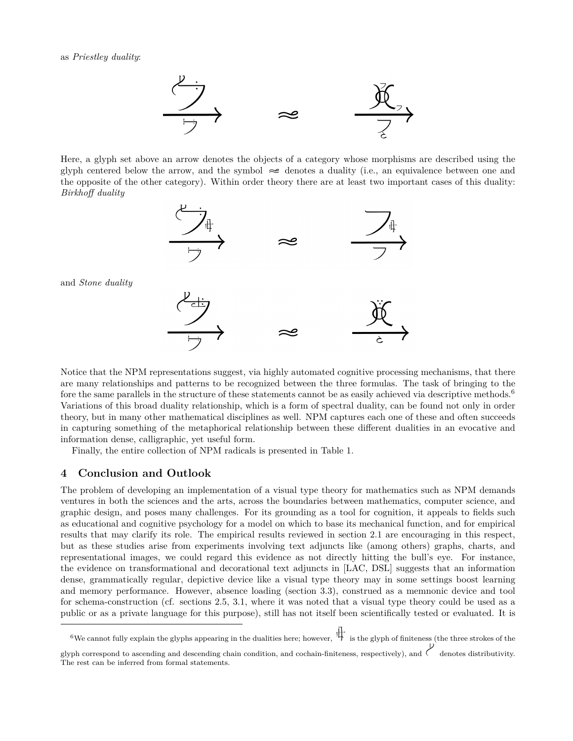

Here, a glyph set above an arrow denotes the objects of a category whose morphisms are described using the glyph centered below the arrow, and the symbol  $\approx$  denotes a duality (i.e., an equivalence between one and the opposite of the other category). Within order theory there are at least two important cases of this duality: *Birkhoff duality*



and *Stone duality*

Notice that the NPM representations suggest, via highly automated cognitive processing mechanisms, that there are many relationships and patterns to be recognized between the three formulas. The task of bringing to the fore the same parallels in the structure of these statements cannot be as easily achieved via descriptive methods.<sup>6</sup> Variations of this broad duality relationship, which is a form of spectral duality, can be found not only in order theory, but in many other mathematical disciplines as well. NPM captures each one of these and often succeeds in capturing something of the metaphorical relationship between these different dualities in an evocative and information dense, calligraphic, yet useful form.

Finally, the entire collection of NPM radicals is presented in Table 1.

#### **4 Conclusion and Outlook**

The problem of developing an implementation of a visual type theory for mathematics such as NPM demands ventures in both the sciences and the arts, across the boundaries between mathematics, computer science, and graphic design, and poses many challenges. For its grounding as a tool for cognition, it appeals to fields such as educational and cognitive psychology for a model on which to base its mechanical function, and for empirical results that may clarify its role. The empirical results reviewed in section 2.1 are encouraging in this respect, but as these studies arise from experiments involving text adjuncts like (among others) graphs, charts, and representational images, we could regard this evidence as not directly hitting the bull's eye. For instance, the evidence on transformational and decorational text adjuncts in [LAC, DSL] suggests that an information dense, grammatically regular, depictive device like a visual type theory may in some settings boost learning and memory performance. However, absence loading (section 3.3), construed as a memnonic device and tool for schema-construction (cf. sections 2.5, 3.1, where it was noted that a visual type theory could be used as a public or as a private language for this purpose), still has not itself been scientifically tested or evaluated. It is

<sup>6</sup>We cannot fully explain the glyphs appearing in the dualities here; however,  $\frac{1}{\sqrt{1}}$  is the glyph of finiteness (the three strokes of the

glyph correspond to ascending and descending chain condition, and cochain-finiteness, respectively), and  $\checkmark$  denotes distributivity. The rest can be inferred from formal statements.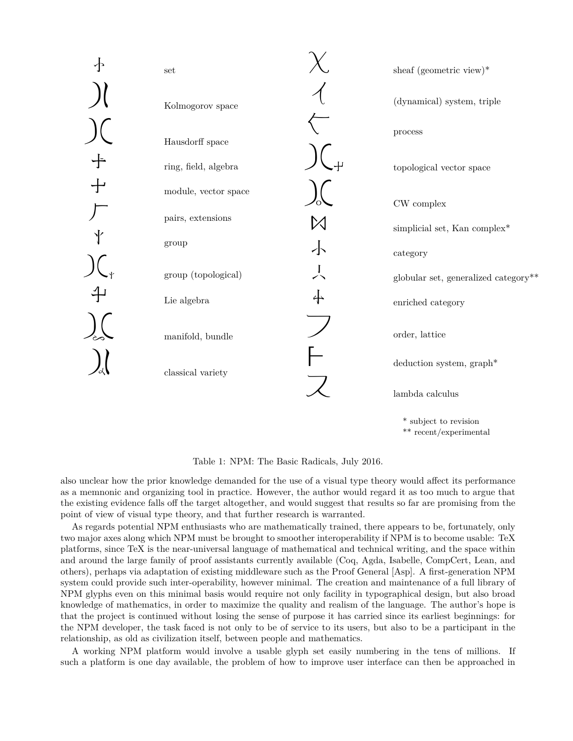

Table 1: NPM: The Basic Radicals, July 2016.

also unclear how the prior knowledge demanded for the use of a visual type theory would affect its performance as a memnonic and organizing tool in practice. However, the author would regard it as too much to argue that the existing evidence falls off the target altogether, and would suggest that results so far are promising from the point of view of visual type theory, and that further research is warranted.

As regards potential NPM enthusiasts who are mathematically trained, there appears to be, fortunately, only two major axes along which NPM must be brought to smoother interoperability if NPM is to become usable: TeX platforms, since TeX is the near-universal language of mathematical and technical writing, and the space within and around the large family of proof assistants currently available (Coq, Agda, Isabelle, CompCert, Lean, and others), perhaps via adaptation of existing middleware such as the Proof General [Asp]. A first-generation NPM system could provide such inter-operability, however minimal. The creation and maintenance of a full library of NPM glyphs even on this minimal basis would require not only facility in typographical design, but also broad knowledge of mathematics, in order to maximize the quality and realism of the language. The author's hope is that the project is continued without losing the sense of purpose it has carried since its earliest beginnings: for the NPM developer, the task faced is not only to be of service to its users, but also to be a participant in the relationship, as old as civilization itself, between people and mathematics.

A working NPM platform would involve a usable glyph set easily numbering in the tens of millions. If such a platform is one day available, the problem of how to improve user interface can then be approached in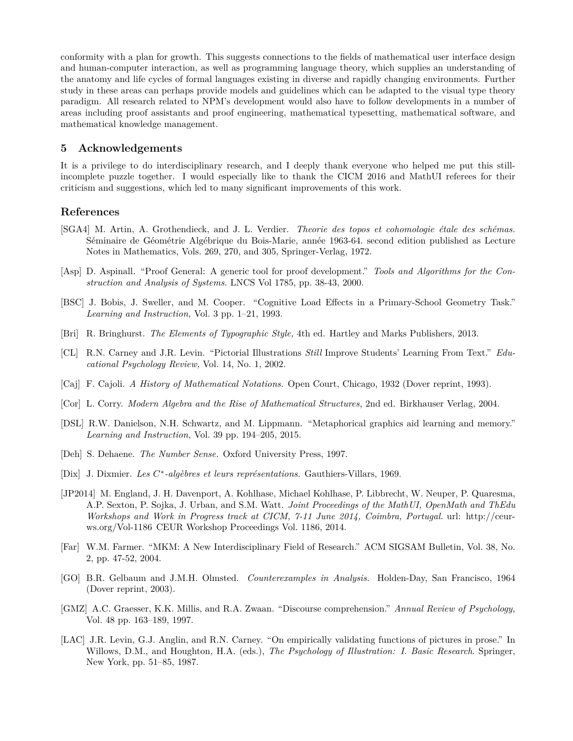conformity with a plan for growth. This suggests connections to the fields of mathematical user interface design and human-computer interaction, as well as programming language theory, which supplies an understanding of the anatomy and life cycles of formal languages existing in diverse and rapidly changing environments. Further study in these areas can perhaps provide models and guidelines which can be adapted to the visual type theory paradigm. All research related to NPM's development would also have to follow developments in a number of areas including proof assistants and proof engineering, mathematical typesetting, mathematical software, and mathematical knowledge management.

#### **5 Acknowledgements**

It is a privilege to do interdisciplinary research, and I deeply thank everyone who helped me put this stillincomplete puzzle together. I would especially like to thank the CICM 2016 and MathUI referees for their criticism and suggestions, which led to many significant improvements of this work.

#### **References**

- [SGA4] M. Artin, A. Grothendieck, and J. L. Verdier. *Theorie des topos et cohomologie étale des schémas.* Séminaire de Géométrie Algébrique du Bois-Marie, année 1963-64. second edition published as Lecture Notes in Mathematics, Vols. 269, 270, and 305, Springer-Verlag, 1972.
- [Asp] D. Aspinall. "Proof General: A generic tool for proof development." *Tools and Algorithms for the Construction and Analysis of Systems.* LNCS Vol 1785, pp. 38-43, 2000.
- [BSC] J. Bobis, J. Sweller, and M. Cooper. "Cognitive Load Effects in a Primary-School Geometry Task." *Learning and Instruction,* Vol. 3 pp. 1–21, 1993.
- [Bri] R. Bringhurst. *The Elements of Typographic Style,* 4th ed. Hartley and Marks Publishers, 2013.
- [CL] R.N. Carney and J.R. Levin. "Pictorial Illustrations *Still* Improve Students' Learning From Text." *Educational Psychology Review,* Vol. 14, No. 1, 2002.
- [Caj] F. Cajoli. *A History of Mathematical Notations.* Open Court, Chicago, 1932 (Dover reprint, 1993).
- [Cor] L. Corry. *Modern Algebra and the Rise of Mathematical Structures,* 2nd ed. Birkhauser Verlag, 2004.
- [DSL] R.W. Danielson, N.H. Schwartz, and M. Lippmann. "Metaphorical graphics aid learning and memory." *Learning and Instruction,* Vol. 39 pp. 194–205, 2015.
- [Deh] S. Dehaene. *The Number Sense.* Oxford University Press, 1997.
- [Dix] J. Dixmier. *Les C ∗ -algèbres et leurs représentations.* Gauthiers-Villars, 1969.
- [JP2014] M. England, J. H. Davenport, A. Kohlhase, Michael Kohlhase, P. Libbrecht, W. Neuper, P. Quaresma, A.P. Sexton, P. Sojka, J. Urban, and S.M. Watt. *Joint Proceedings of the MathUI, OpenMath and ThEdu Workshops and Work in Progress track at CICM, 7-11 June 2014, Coimbra, Portugal.* url: http://ceurws.org/Vol-1186 CEUR Workshop Proceedings Vol. 1186, 2014.
- [Far] W.M. Farmer. "MKM: A New Interdisciplinary Field of Research." ACM SIGSAM Bulletin, Vol. 38, No. 2, pp. 47-52, 2004.
- [GO] B.R. Gelbaum and J.M.H. Olmsted. *Counterexamples in Analysis.* Holden-Day, San Francisco, 1964 (Dover reprint, 2003).
- [GMZ] A.C. Graesser, K.K. Millis, and R.A. Zwaan. "Discourse comprehension." *Annual Review of Psychology,* Vol. 48 pp. 163–189, 1997.
- [LAC] J.R. Levin, G.J. Anglin, and R.N. Carney. "On empirically validating functions of pictures in prose." In Willows, D.M., and Houghton, H.A. (eds.), *The Psychology of Illustration: I. Basic Research*. Springer, New York, pp. 51–85, 1987.